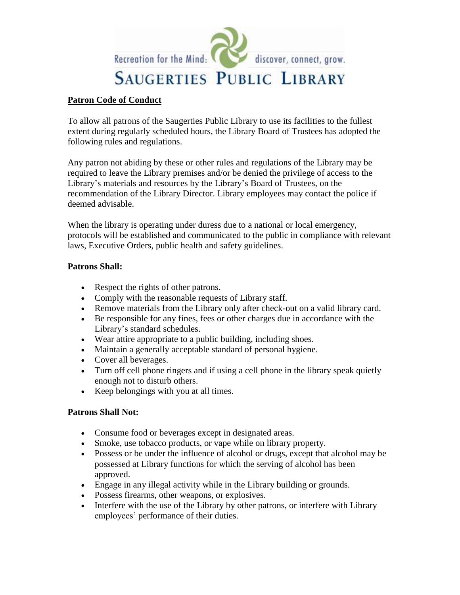

## **Patron Code of Conduct**

To allow all patrons of the Saugerties Public Library to use its facilities to the fullest extent during regularly scheduled hours, the Library Board of Trustees has adopted the following rules and regulations.

Any patron not abiding by these or other rules and regulations of the Library may be required to leave the Library premises and/or be denied the privilege of access to the Library's materials and resources by the Library's Board of Trustees, on the recommendation of the Library Director. Library employees may contact the police if deemed advisable.

When the library is operating under duress due to a national or local emergency, protocols will be established and communicated to the public in compliance with relevant laws, Executive Orders, public health and safety guidelines.

## **Patrons Shall:**

- Respect the rights of other patrons.
- Comply with the reasonable requests of Library staff.
- Remove materials from the Library only after check-out on a valid library card.
- Be responsible for any fines, fees or other charges due in accordance with the Library's standard schedules.
- Wear attire appropriate to a public building, including shoes.
- Maintain a generally acceptable standard of personal hygiene.
- Cover all beverages.
- Turn off cell phone ringers and if using a cell phone in the library speak quietly enough not to disturb others.
- Keep belongings with you at all times.

## **Patrons Shall Not:**

- Consume food or beverages except in designated areas.
- Smoke, use tobacco products, or vape while on library property.
- Possess or be under the influence of alcohol or drugs, except that alcohol may be possessed at Library functions for which the serving of alcohol has been approved.
- Engage in any illegal activity while in the Library building or grounds.
- Possess firearms, other weapons, or explosives.
- Interfere with the use of the Library by other patrons, or interfere with Library employees' performance of their duties.